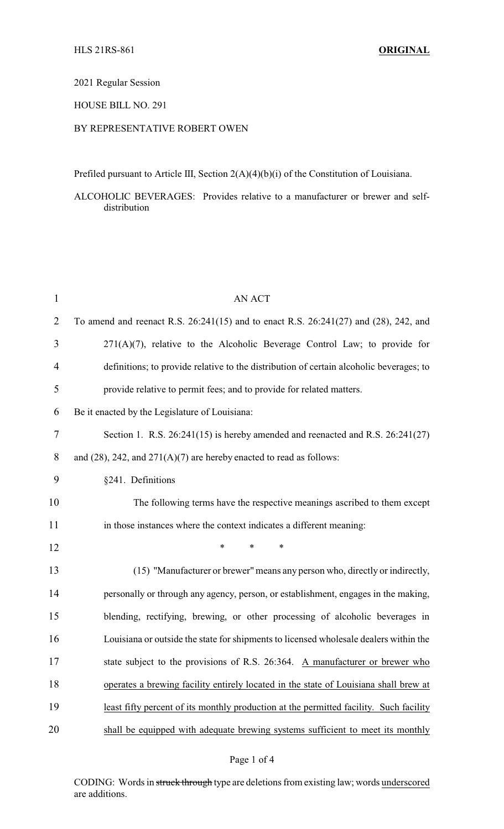2021 Regular Session

## HOUSE BILL NO. 291

## BY REPRESENTATIVE ROBERT OWEN

Prefiled pursuant to Article III, Section 2(A)(4)(b)(i) of the Constitution of Louisiana.

ALCOHOLIC BEVERAGES: Provides relative to a manufacturer or brewer and selfdistribution

| $\mathbf{1}$ | <b>AN ACT</b>                                                                           |
|--------------|-----------------------------------------------------------------------------------------|
| 2            | To amend and reenact R.S. 26:241(15) and to enact R.S. 26:241(27) and (28), 242, and    |
| 3            | $271(A)(7)$ , relative to the Alcoholic Beverage Control Law; to provide for            |
| 4            | definitions; to provide relative to the distribution of certain alcoholic beverages; to |
| 5            | provide relative to permit fees; and to provide for related matters.                    |
| 6            | Be it enacted by the Legislature of Louisiana:                                          |
| 7            | Section 1. R.S. $26:241(15)$ is hereby amended and reenacted and R.S. $26:241(27)$      |
| 8            | and $(28)$ , 242, and $271(A)(7)$ are hereby enacted to read as follows:                |
| 9            | §241. Definitions                                                                       |
| 10           | The following terms have the respective meanings ascribed to them except                |
| 11           | in those instances where the context indicates a different meaning:                     |
| 12           | $\ast$<br>$\ast$<br>*                                                                   |
| 13           | (15) "Manufacturer or brewer" means any person who, directly or indirectly,             |
| 14           | personally or through any agency, person, or establishment, engages in the making,      |
| 15           | blending, rectifying, brewing, or other processing of alcoholic beverages in            |
| 16           | Louisiana or outside the state for shipments to licensed wholesale dealers within the   |
| 17           | state subject to the provisions of R.S. 26:364. A manufacturer or brewer who            |
| 18           | operates a brewing facility entirely located in the state of Louisiana shall brew at    |
| 19           | least fifty percent of its monthly production at the permitted facility. Such facility  |
| 20           | shall be equipped with adequate brewing systems sufficient to meet its monthly          |

CODING: Words in struck through type are deletions from existing law; words underscored are additions.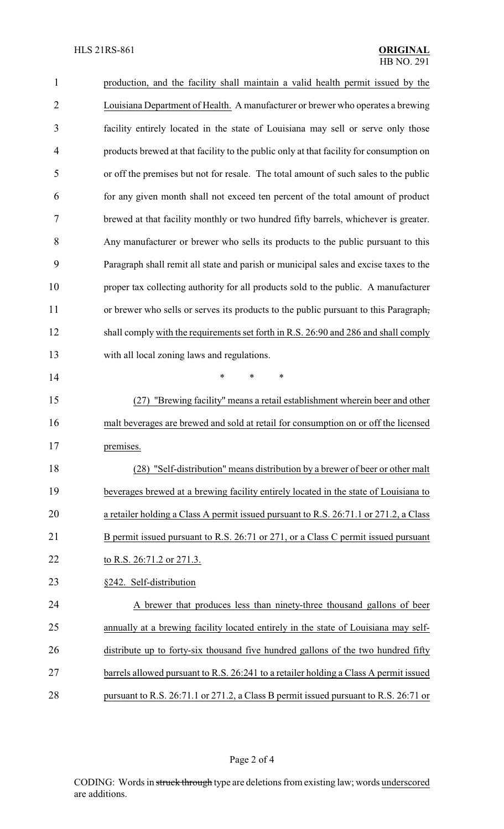| 1              | production, and the facility shall maintain a valid health permit issued by the         |
|----------------|-----------------------------------------------------------------------------------------|
| $\overline{2}$ | Louisiana Department of Health. A manufacturer or brewer who operates a brewing         |
| 3              | facility entirely located in the state of Louisiana may sell or serve only those        |
| 4              | products brewed at that facility to the public only at that facility for consumption on |
| 5              | or off the premises but not for resale. The total amount of such sales to the public    |
| 6              | for any given month shall not exceed ten percent of the total amount of product         |
| 7              | brewed at that facility monthly or two hundred fifty barrels, whichever is greater.     |
| 8              | Any manufacturer or brewer who sells its products to the public pursuant to this        |
| 9              | Paragraph shall remit all state and parish or municipal sales and excise taxes to the   |
| 10             | proper tax collecting authority for all products sold to the public. A manufacturer     |
| 11             | or brewer who sells or serves its products to the public pursuant to this Paragraph,    |
| 12             | shall comply with the requirements set forth in R.S. 26:90 and 286 and shall comply     |
| 13             | with all local zoning laws and regulations.                                             |
| 14             | $\ast$<br>$\ast$<br>*                                                                   |
| 15             | "Brewing facility" means a retail establishment wherein beer and other<br>(27)          |
| 16             | malt beverages are brewed and sold at retail for consumption on or off the licensed     |
| 17             | premises.                                                                               |
| 18             | "Self-distribution" means distribution by a brewer of beer or other malt<br>(28)        |
| 19             | beverages brewed at a brewing facility entirely located in the state of Louisiana to    |
| 20             | a retailer holding a Class A permit issued pursuant to R.S. 26:71.1 or 271.2, a Class   |
| 21             | B permit issued pursuant to R.S. 26:71 or 271, or a Class C permit issued pursuant      |
| 22             | to R.S. 26:71.2 or 271.3.                                                               |
| 23             | §242. Self-distribution                                                                 |
| 24             | A brewer that produces less than ninety-three thousand gallons of beer                  |
| 25             | annually at a brewing facility located entirely in the state of Louisiana may self-     |
| 26             | distribute up to forty-six thousand five hundred gallons of the two hundred fifty       |
| 27             | barrels allowed pursuant to R.S. 26:241 to a retailer holding a Class A permit issued   |
| 28             | pursuant to R.S. 26:71.1 or 271.2, a Class B permit issued pursuant to R.S. 26:71 or    |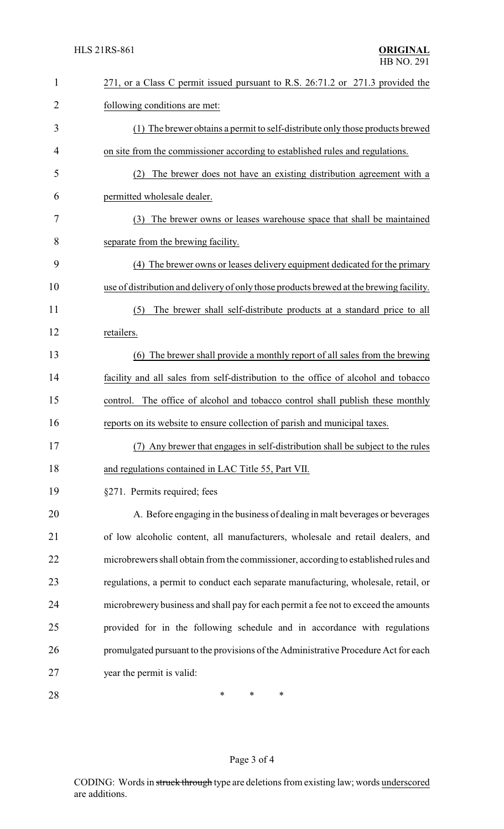| $\mathbf{1}$   | 271, or a Class C permit issued pursuant to R.S. 26:71.2 or 271.3 provided the          |
|----------------|-----------------------------------------------------------------------------------------|
| $\overline{2}$ | following conditions are met:                                                           |
| 3              | (1) The brewer obtains a permit to self-distribute only those products brewed           |
| 4              | on site from the commissioner according to established rules and regulations.           |
| 5              | The brewer does not have an existing distribution agreement with a<br>(2)               |
| 6              | permitted wholesale dealer.                                                             |
| 7              | (3) The brewer owns or leases warehouse space that shall be maintained                  |
| 8              | separate from the brewing facility.                                                     |
| 9              | (4) The brewer owns or leases delivery equipment dedicated for the primary              |
| 10             | use of distribution and delivery of only those products brewed at the brewing facility. |
| 11             | The brewer shall self-distribute products at a standard price to all<br>(5)             |
| 12             | retailers.                                                                              |
| 13             | (6) The brewer shall provide a monthly report of all sales from the brewing             |
| 14             | facility and all sales from self-distribution to the office of alcohol and tobacco      |
| 15             | The office of alcohol and tobacco control shall publish these monthly<br>control.       |
| 16             | reports on its website to ensure collection of parish and municipal taxes.              |
| 17             | (7) Any brewer that engages in self-distribution shall be subject to the rules          |
| 18             | and regulations contained in LAC Title 55, Part VII.                                    |
| 19             | §271. Permits required; fees                                                            |
| 20             | A. Before engaging in the business of dealing in malt beverages or beverages            |
| 21             | of low alcoholic content, all manufacturers, wholesale and retail dealers, and          |
| 22             | microbrewers shall obtain from the commissioner, according to established rules and     |
| 23             | regulations, a permit to conduct each separate manufacturing, wholesale, retail, or     |
| 24             | microbrewery business and shall pay for each permit a fee not to exceed the amounts     |
| 25             | provided for in the following schedule and in accordance with regulations               |
| 26             | promulgated pursuant to the provisions of the Administrative Procedure Act for each     |
| 27             | year the permit is valid:                                                               |
| 28             | $\ast$<br>∗<br>∗                                                                        |

## Page 3 of 4